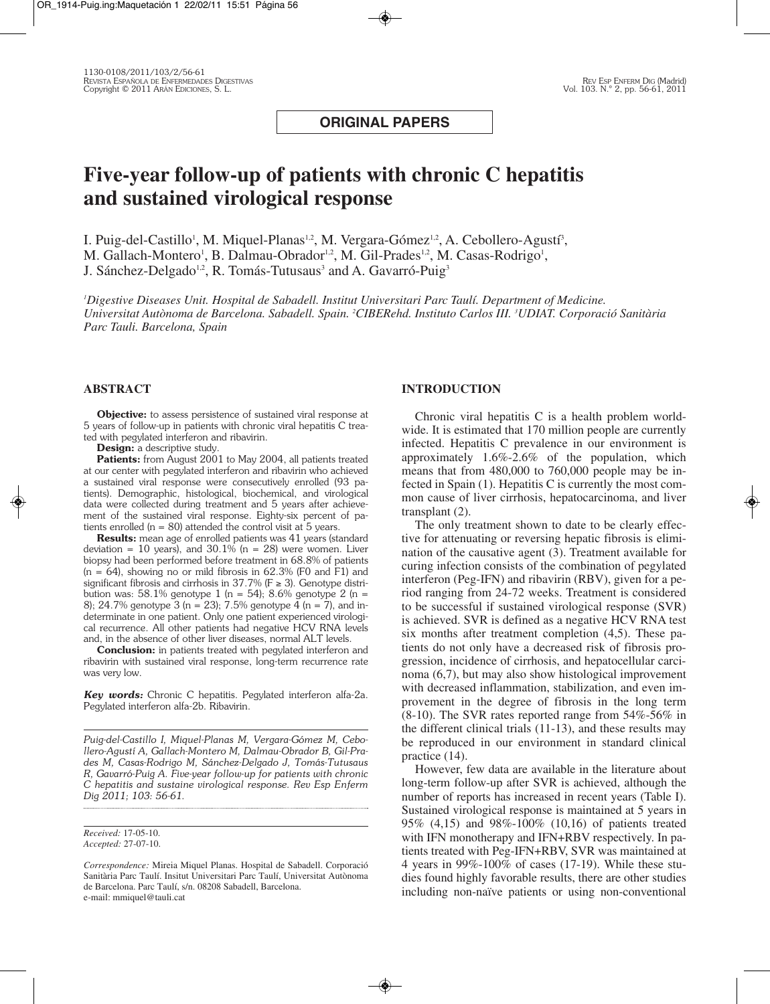**ORIGINAL PAPERS**

# **Five-year follow-up of patients with chronic C hepatitis and sustained virological response**

I. Puig-del-Castillo<sup>1</sup>, M. Miquel-Planas<sup>1,2</sup>, M. Vergara-Gómez<sup>1,2</sup>, A. Cebollero-Agustí<sup>3</sup>, M. Gallach-Montero<sup>1</sup>, B. Dalmau-Obrador<sup>1,2</sup>, M. Gil-Prades<sup>1,2</sup>, M. Casas-Rodrigo<sup>1</sup>, J. Sánchez-Delgado<sup>1,2</sup>, R. Tomás-Tutusaus<sup>3</sup> and A. Gavarró-Puig<sup>3</sup>

*1 Digestive Diseases Unit. Hospital de Sabadell. Institut Universitari Parc Taulí. Department of Medicine. Universitat Autònoma de Barcelona. Sabadell. Spain. 2 CIBERehd. Instituto Carlos III. 3 UDIAT. Corporació Sanitària Parc Tauli. Barcelona, Spain*

# **ABSTRACT**

**Objective:** to assess persistence of sustained viral response at 5 years of follow-up in patients with chronic viral hepatitis C treated with pegylated interferon and ribavirin.

**Design:** a descriptive study.

Patients: from August 2001 to May 2004, all patients treated at our center with pegylated interferon and ribavirin who achieved a sustained viral response were consecutively enrolled (93 patients). Demographic, histological, biochemical, and virological data were collected during treatment and 5 years after achievement of the sustained viral response. Eighty-six percent of patients enrolled ( $n = 80$ ) attended the control visit at 5 years.

**Results:** mean age of enrolled patients was 41 years (standard deviation = 10 years), and  $30.1\%$  (n = 28) were women. Liver biopsy had been performed before treatment in 68.8% of patients  $(n = 64)$ , showing no or mild fibrosis in 62.3% (F0 and F1) and significant fibrosis and cirrhosis in  $37.7\%$  (F  $\geq 3$ ). Genotype distribution was: 58.1% genotype 1 (n = 54); 8.6% genotype 2 (n = 8); 24.7% genotype 3 (n = 23); 7.5% genotype  $\frac{3}{4}$  (n = 7), and indeterminate in one patient. Only one patient experienced virological recurrence. All other patients had negative HCV RNA levels and, in the absence of other liver diseases, normal ALT levels.

**Conclusion:** in patients treated with pegylated interferon and ribavirin with sustained viral response, long-term recurrence rate was very low.

*Key words:* Chronic C hepatitis. Pegylated interferon alfa-2a. Pegylated interferon alfa-2b. Ribavirin.

*Puig-del-Castillo I, Miquel-Planas M, Vergara-Gómez M, Cebollero-Agustí A, Gallach-Montero M, Dalmau-Obrador B, Gil-Prades M, Casas-Rodrigo M, Sánchez-Delgado J, Tomás-Tutusaus R, Gavarró-Puig A. Five-year follow-up for patients with chronic C hepatitis and sustaine virological response. Rev Esp Enferm Dig 2011; 103: 56-61.*

*Received:* 17-05-10. *Accepted:* 27-07-10.

# **INTRODUCTION**

Chronic viral hepatitis C is a health problem worldwide. It is estimated that 170 million people are currently infected. Hepatitis C prevalence in our environment is approximately 1.6%-2.6% of the population, which means that from 480,000 to 760,000 people may be infected in Spain (1). Hepatitis C is currently the most common cause of liver cirrhosis, hepatocarcinoma, and liver transplant (2).

The only treatment shown to date to be clearly effective for attenuating or reversing hepatic fibrosis is elimination of the causative agent (3). Treatment available for curing infection consists of the combination of pegylated interferon (Peg-IFN) and ribavirin (RBV), given for a period ranging from 24-72 weeks. Treatment is considered to be successful if sustained virological response (SVR) is achieved. SVR is defined as a negative HCV RNA test six months after treatment completion (4,5). These patients do not only have a decreased risk of fibrosis progression, incidence of cirrhosis, and hepatocellular carcinoma (6,7), but may also show histological improvement with decreased inflammation, stabilization, and even improvement in the degree of fibrosis in the long term (8-10). The SVR rates reported range from 54%-56% in the different clinical trials (11-13), and these results may be reproduced in our environment in standard clinical practice (14).

However, few data are available in the literature about long-term follow-up after SVR is achieved, although the number of reports has increased in recent years (Table I). Sustained virological response is maintained at 5 years in 95% (4,15) and 98%-100% (10,16) of patients treated with IFN monotherapy and IFN+RBV respectively. In patients treated with Peg-IFN+RBV, SVR was maintained at 4 years in 99%-100% of cases (17-19). While these stu dies found highly favorable results, there are other studies including non-naïve patients or using non-conventional

*Correspondence:* Mireia Miquel Planas. Hospital de Sabadell. Corporació Sanitària Parc Taulí. Insitut Universitari Parc Taulí, Universitat Autònoma de Barcelona. Parc Taulí, s/n. 08208 Sabadell, Barcelona. e-mail: mmiquel@tauli.cat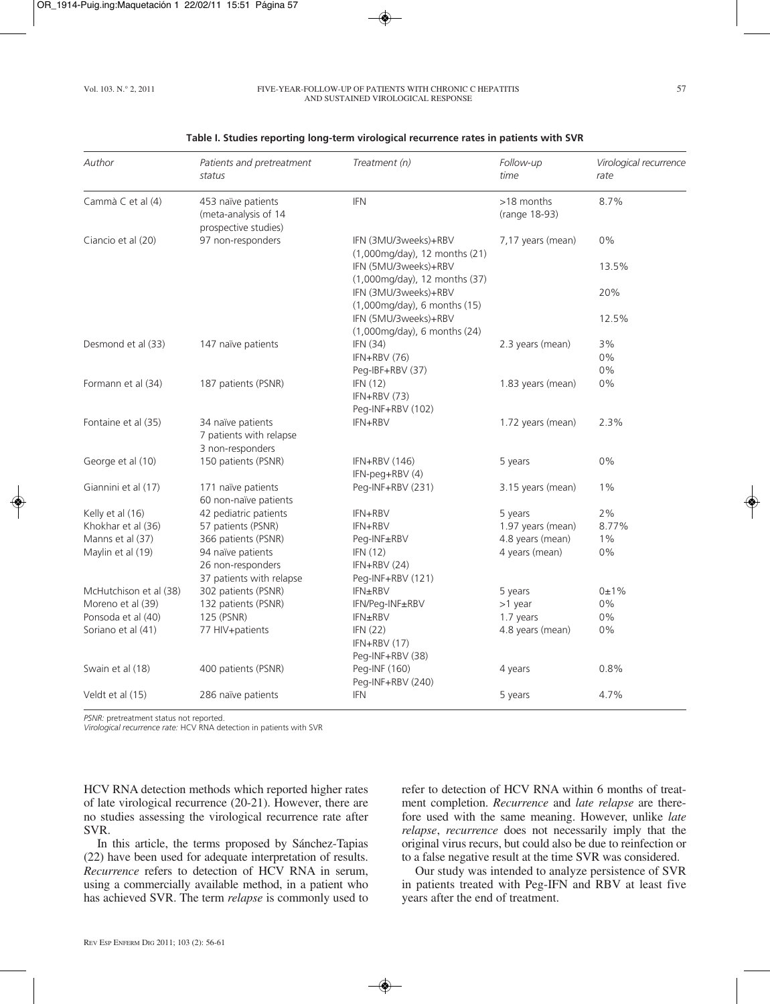#### Vol. 103. N.º 2, 2011 FIVE-YEAR-FOLLOW-UP OF PATIENTS WITH CHRONIC C HEPATITIS 57 AND SUSTAINED VIROLOGICAL RESPONSE

# *Author Patients and pretreatment Treatment (n) Follow-up Virological recurrence status time rate* Cammà C et al (4) 453 naïve patients IFN 150 18 months 8.7% (meta-analysis of 14 (range 18-93) prospective studies) Ciancio et al (20) 97 non-responders IFN (3MU/3weeks)+RBV 7,17 years (mean) 0% (1,000mg/day), 12 months (21) IFN (5MU/3weeks)+RBV 13.5% (1,000mg/day), 12 months (37) IFN (3MU/3weeks)+RBV 20% (1,000mg/day), 6 months (15) IFN (5MU/3weeks)+RBV 12.5% (1,000mg/day), 6 months (24) Desmond et al (33) 147 naïve patients IFN (34) 1998 12.3 years (mean) 3%  $IFN+RBV (76)$  0% Peg-IBF+RBV (37) 0% Formann et al (34) 187 patients (PSNR) IFN (12) 1.83 years (mean) 0% IFN+RBV (73) Peg-INF+RBV (102) Fontaine et al (35) 34 naïve patients IFN+RBV 1.72 years (mean) 2.3% 7 patients with relapse 3 non-responders George et al (10) 150 patients (PSNR) IFN+RBV (146) 5 years 0% IFN-peg+RBV (4) Giannini et al (17) 171 naïve patients Peg-INF+RBV (231) 3.15 years (mean) 1% 60 non-naïve patients Kelly et al (16) 42 pediatric patients IFN+RBV 5 years 5 years 2% Khokhar et al (36) 57 patients (PSNR) IFN+RBV 1.97 years (mean) 8.77% Manns et al (37) 366 patients (PSNR) Peg-INF±RBV 4.8 years (mean) 1% Maylin et al (19) 94 naïve patients IFN (12) 4 years (mean) 0% 26 non-responders IFN+RBV (24) 37 patients with relapse Peg-INF+RBV (121) McHutchison et al (38) 302 patients (PSNR) IFN±RBV 5 years 6±1% Moreno et al (39) 132 patients (PSNR) IFN/Peg-INF±RBV >1 year >1 year 0% Ponsoda et al (40) 125 (PSNR) IFN±RBV 1.7 years 0% Soriano et al (41) **77 HIV**+patients **IFN (22)** A.8 years (mean) 0% IFN+RBV (17) Peg-INF+RBV (38)

Swain et al (18) 400 patients (PSNR) Peg-INF (160) 4 years 4 years 0.8%

Veldt et al (15) 286 naïve patients IFN 5 years 4.7%

Peg-INF+RBV (240)

#### **Table I. Studies reporting long-term virological recurrence rates in patients with SVR**

*PSNR:* pretreatment status not reported.

*Virological recurrence rate:* HCV RNA detection in patients with SVR

HCV RNA detection methods which reported higher rates of late virological recurrence (20-21). However, there are no studies assessing the virological recurrence rate after SVR.

In this article, the terms proposed by Sánchez-Tapias (22) have been used for adequate interpretation of results. *Recurrence* refers to detection of HCV RNA in serum, using a commercially available method, in a patient who has achieved SVR. The term *relapse* is commonly used to refer to detection of HCV RNA within 6 months of treatment completion. *Recurrence* and *late relapse* are therefore used with the same meaning. However, unlike *late relapse*, *recurrence* does not necessarily imply that the original virus recurs, but could also be due to reinfection or to a false negative result at the time SVR was considered.

Our study was intended to analyze persistence of SVR in patients treated with Peg-IFN and RBV at least five years after the end of treatment.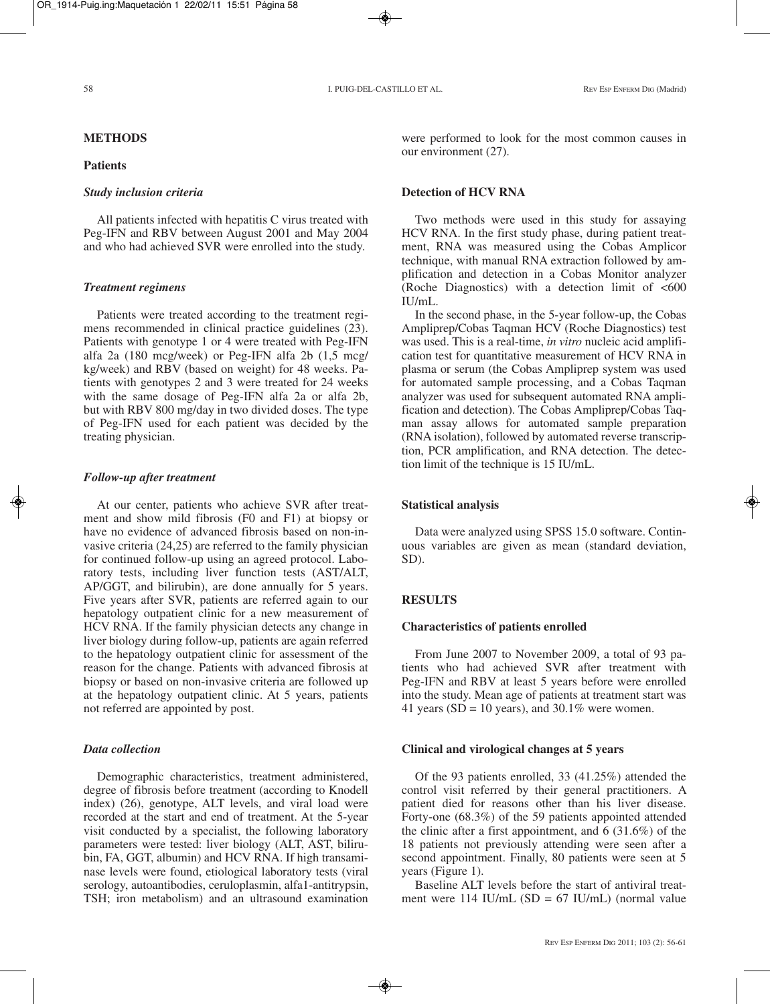## **METHODS**

#### **Patients**

#### *Study inclusion criteria*

All patients infected with hepatitis C virus treated with Peg-IFN and RBV between August 2001 and May 2004 and who had achieved SVR were enrolled into the study.

## *Treatment regimens*

Patients were treated according to the treatment regimens recommended in clinical practice guidelines (23). Patients with genotype 1 or 4 were treated with Peg-IFN alfa 2a (180 mcg/week) or Peg-IFN alfa 2b (1,5 mcg/ kg/week) and RBV (based on weight) for 48 weeks. Patients with genotypes 2 and 3 were treated for 24 weeks with the same dosage of Peg-IFN alfa 2a or alfa 2b, but with RBV 800 mg/day in two divided doses. The type of Peg-IFN used for each patient was decided by the treating physician.

### *Follow-up after treatment*

At our center, patients who achieve SVR after treatment and show mild fibrosis (F0 and F1) at biopsy or have no evidence of advanced fibrosis based on non-invasive criteria (24,25) are referred to the family physician for continued follow-up using an agreed protocol. Laboratory tests, including liver function tests (AST/ALT, AP/GGT, and bilirubin), are done annually for 5 years. Five years after SVR, patients are referred again to our hepatology outpatient clinic for a new measurement of HCV RNA. If the family physician detects any change in liver biology during follow-up, patients are again referred to the hepatology outpatient clinic for assessment of the reason for the change. Patients with advanced fibrosis at biopsy or based on non-invasive criteria are followed up at the hepatology outpatient clinic. At 5 years, patients not referred are appointed by post.

#### *Data collection*

Demographic characteristics, treatment administered, degree of fibrosis before treatment (according to Knodell index) (26), genotype, ALT levels, and viral load were recorded at the start and end of treatment. At the 5-year visit conducted by a specialist, the following laboratory parameters were tested: liver biology (ALT, AST, bilirubin, FA, GGT, albumin) and HCV RNA. If high transaminase levels were found, etiological laboratory tests (viral serology, autoantibodies, ceruloplasmin, alfa1-antitrypsin, TSH; iron metabolism) and an ultrasound examination were performed to look for the most common causes in our environment (27).

## **Detection of HCV RNA**

Two methods were used in this study for assaying HCV RNA. In the first study phase, during patient treatment, RNA was measured using the Cobas Amplicor technique, with manual RNA extraction followed by amplification and detection in a Cobas Monitor analyzer (Roche Diagnostics) with a detection limit of  $\leq 600$  $II$ *I* $I$ <sub> $\cdot$ </sub>

In the second phase, in the 5-year follow-up, the Cobas Ampliprep/Cobas Taqman HCV (Roche Diagnostics) test was used. This is a real-time, *in vitro* nucleic acid amplification test for quantitative measurement of HCV RNA in plasma or serum (the Cobas Ampliprep system was used for automated sample processing, and a Cobas Taqman analyzer was used for subsequent automated RNA amplification and detection). The Cobas Ampliprep/Cobas Taqman assay allows for automated sample preparation (RNA isolation), followed by automated reverse transcription, PCR amplification, and RNA detection. The detection limit of the technique is 15 IU/mL.

## **Statistical analysis**

Data were analyzed using SPSS 15.0 software. Continuous variables are given as mean (standard deviation, SD).

## **RESULTS**

#### **Characteristics of patients enrolled**

From June 2007 to November 2009, a total of 93 patients who had achieved SVR after treatment with Peg-IFN and RBV at least 5 years before were enrolled into the study. Mean age of patients at treatment start was 41 years (SD = 10 years), and 30.1% were women.

#### **Clinical and virological changes at 5 years**

Of the 93 patients enrolled, 33 (41.25%) attended the control visit referred by their general practitioners. A patient died for reasons other than his liver disease. Forty-one (68.3%) of the 59 patients appointed attended the clinic after a first appointment, and  $6$  (31.6%) of the 18 patients not previously attending were seen after a second appointment. Finally, 80 patients were seen at 5 years (Figure 1).

Baseline ALT levels before the start of antiviral treatment were 114 IU/mL  $(SD = 67 \text{ IU/mL})$  (normal value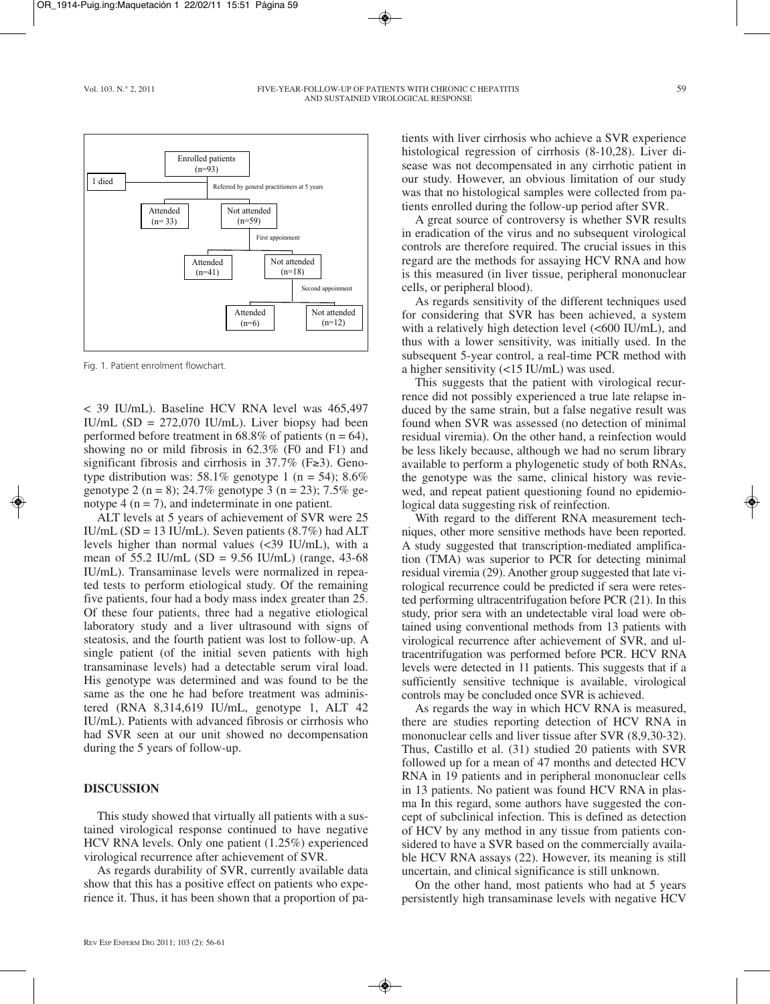#### Vol. 103. N.º 2, 2011 **FIVE-YEAR-FOLLOW-UP OF PATIENTS WITH CHRONIC C HEPATITIS** 59 AND SUSTAINED VIROLOGICAL RESPONSE



Fig. 1. Patient enrolment flowchart.

< 39 IU/mL). Baseline HCV RNA level was 465,497 IU/mL  $(SD = 272,070$  IU/mL). Liver biopsy had been performed before treatment in  $68.8\%$  of patients (n = 64), showing no or mild fibrosis in 62.3% (F0 and F1) and significant fibrosis and cirrhosis in 37.7% (F≥3). Genotype distribution was:  $58.1\%$  genotype 1 (n = 54);  $8.6\%$ genotype 2 (n = 8); 24.7% genotype 3 (n = 23); 7.5% genotype  $4 (n = 7)$ , and indeterminate in one patient.

ALT levels at 5 years of achievement of SVR were 25 IU/mL (SD = 13 IU/mL). Seven patients  $(8.7%)$  had ALT levels higher than normal values (<39 IU/mL), with a mean of  $55.2$  IU/mL (SD =  $9.56$  IU/mL) (range,  $43-68$ ) IU/mL). Transaminase levels were normalized in repeated tests to perform etiological study. Of the remaining five patients, four had a body mass index greater than 25. Of these four patients, three had a negative etiological laboratory study and a liver ultrasound with signs of steatosis, and the fourth patient was lost to follow-up. A single patient (of the initial seven patients with high transaminase levels) had a detectable serum viral load. His genotype was determined and was found to be the same as the one he had before treatment was administered (RNA 8,314,619 IU/mL, genotype 1, ALT 42 IU/mL). Patients with advanced fibrosis or cirrhosis who had SVR seen at our unit showed no decompensation during the 5 years of follow-up.

# **DISCUSSION**

This study showed that virtually all patients with a sustained virological response continued to have negative HCV RNA levels. Only one patient (1.25%) experienced virological recurrence after achievement of SVR.

As regards durability of SVR, currently available data show that this has a positive effect on patients who experience it. Thus, it has been shown that a proportion of patients with liver cirrhosis who achieve a SVR experience histological regression of cirrhosis (8-10,28). Liver disease was not decompensated in any cirrhotic patient in our study. However, an obvious limitation of our study was that no histological samples were collected from patients enrolled during the follow-up period after SVR.

A great source of controversy is whether SVR results in eradication of the virus and no subsequent virological controls are therefore required. The crucial issues in this regard are the methods for assaying HCV RNA and how is this measured (in liver tissue, peripheral mononuclear cells, or peripheral blood).

As regards sensitivity of the different techniques used for considering that SVR has been achieved, a system with a relatively high detection level (<600 IU/mL), and thus with a lower sensitivity, was initially used. In the subsequent 5-year control, a real-time PCR method with a higher sensitivity (<15 IU/mL) was used.

This suggests that the patient with virological recurrence did not possibly experienced a true late relapse induced by the same strain, but a false negative result was found when SVR was assessed (no detection of minimal residual viremia). On the other hand, a reinfection would be less likely because, although we had no serum library available to perform a phylogenetic study of both RNAs, the genotype was the same, clinical history was reviewed, and repeat patient questioning found no epidemiological data suggesting risk of reinfection.

With regard to the different RNA measurement techniques, other more sensitive methods have been reported. A study suggested that transcription-mediated amplification (TMA) was superior to PCR for detecting minimal residual viremia (29). Another group suggested that late virological recurrence could be predicted if sera were retested performing ultracentrifugation before PCR (21). In this study, prior sera with an undetectable viral load were obtained using conventional methods from 13 patients with virological recurrence after achievement of SVR, and ultracentrifugation was performed before PCR. HCV RNA levels were detected in 11 patients. This suggests that if a sufficiently sensitive technique is available, virological controls may be concluded once SVR is achieved.

As regards the way in which HCV RNA is measured, there are studies reporting detection of HCV RNA in mononuclear cells and liver tissue after SVR (8,9,30-32). Thus, Castillo et al. (31) studied 20 patients with SVR followed up for a mean of 47 months and detected HCV RNA in 19 patients and in peripheral mononuclear cells in 13 patients. No patient was found HCV RNA in plasma In this regard, some authors have suggested the concept of subclinical infection. This is defined as detection of HCV by any method in any tissue from patients considered to have a SVR based on the commercially available HCV RNA assays (22). However, its meaning is still uncertain, and clinical significance is still unknown.

On the other hand, most patients who had at 5 years persistently high transaminase levels with negative HCV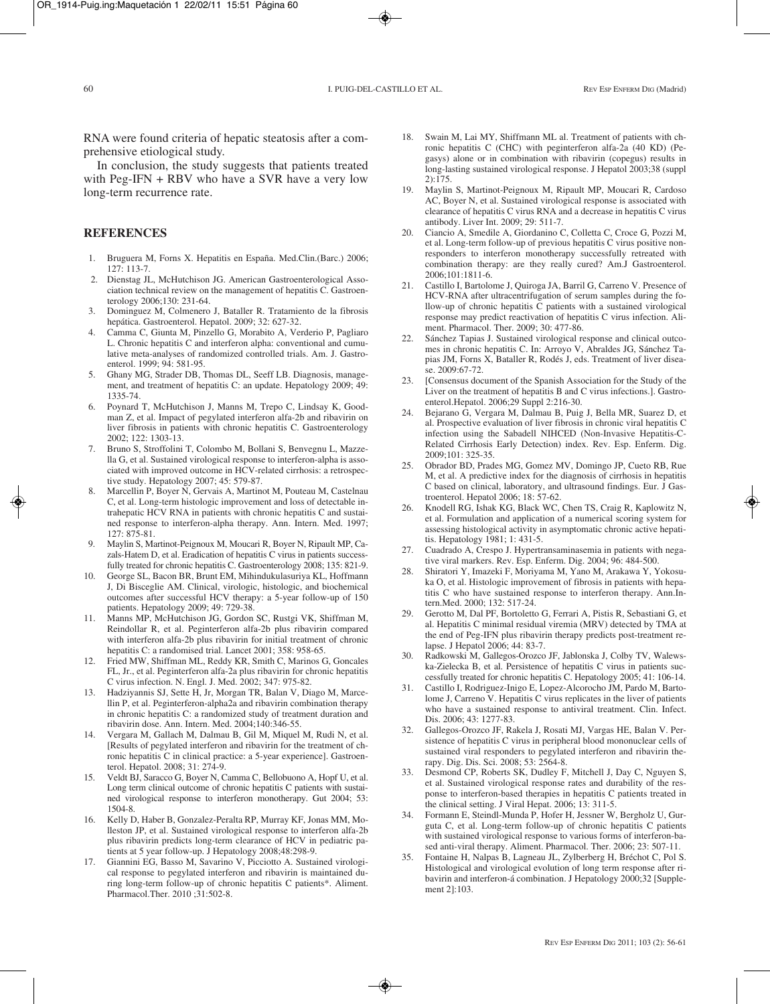RNA were found criteria of hepatic steatosis after a comprehensive etiological study.

In conclusion, the study suggests that patients treated with Peg-IFN + RBV who have a SVR have a very low long-term recurrence rate.

# **REFERENCES**

- 1. Bruguera M, Forns X. Hepatitis en España. Med.Clin.(Barc.) 2006;  $127 \cdot 113 - 7$
- 2. Dienstag JL, McHutchison JG. American Gastroenterological Association technical review on the management of hepatitis C. Gastroenterology 2006;130: 231-64.
- 3. Dominguez M, Colmenero J, Bataller R. Tratamiento de la fibrosis hepática. Gastroenterol. Hepatol. 2009; 32: 627-32.
- 4. Camma C, Giunta M, Pinzello G, Morabito A, Verderio P, Pagliaro L. Chronic hepatitis C and interferon alpha: conventional and cumulative meta-analyses of randomized controlled trials. Am. J. Gastroenterol. 1999; 94: 581-95.
- 5. Ghany MG, Strader DB, Thomas DL, Seeff LB. Diagnosis, management, and treatment of hepatitis C: an update. Hepatology 2009; 49: 1335-74.
- 6. Poynard T, McHutchison J, Manns M, Trepo C, Lindsay K, Goodman Z, et al. Impact of pegylated interferon alfa-2b and ribavirin on liver fibrosis in patients with chronic hepatitis C. Gastroenterology 2002; 122: 1303-13.
- 7. Bruno S, Stroffolini T, Colombo M, Bollani S, Benvegnu L, Mazzella G, et al. Sustained virological response to interferon-alpha is associated with improved outcome in HCV-related cirrhosis: a retrospective study. Hepatology 2007; 45: 579-87.
- 8. Marcellin P, Boyer N, Gervais A, Martinot M, Pouteau M, Castelnau C, et al. Long-term histologic improvement and loss of detectable intrahepatic HCV RNA in patients with chronic hepatitis C and sustained response to interferon-alpha therapy. Ann. Intern. Med. 1997; 127: 875-81.
- 9. Maylin S, Martinot-Peignoux M, Moucari R, Boyer N, Ripault MP, Cazals-Hatem D, et al. Eradication of hepatitis C virus in patients successfully treated for chronic hepatitis C. Gastroenterology 2008; 135: 821-9.
- 10. George SL, Bacon BR, Brunt EM, Mihindukulasuriya KL, Hoffmann J, Di Bisceglie AM. Clinical, virologic, histologic, and biochemical outcomes after successful HCV therapy: a 5-year follow-up of 150 patients. Hepatology 2009; 49: 729-38.
- 11. Manns MP, McHutchison JG, Gordon SC, Rustgi VK, Shiffman M, Reindollar R, et al. Peginterferon alfa-2b plus ribavirin compared with interferon alfa-2b plus ribavirin for initial treatment of chronic hepatitis C: a randomised trial. Lancet 2001; 358: 958-65.
- 12. Fried MW, Shiffman ML, Reddy KR, Smith C, Marinos G, Goncales FL, Jr., et al. Peginterferon alfa-2a plus ribavirin for chronic hepatitis C virus infection. N. Engl. J. Med. 2002; 347: 975-82.
- 13. Hadziyannis SJ, Sette H, Jr, Morgan TR, Balan V, Diago M, Marcellin P, et al. Peginterferon-alpha2a and ribavirin combination therapy in chronic hepatitis C: a randomized study of treatment duration and ribavirin dose. Ann. Intern. Med. 2004;140:346-55.
- 14. Vergara M, Gallach M, Dalmau B, Gil M, Miquel M, Rudi N, et al. [Results of pegylated interferon and ribavirin for the treatment of chronic hepatitis C in clinical practice: a 5-year experience]. Gastroenterol. Hepatol. 2008; 31: 274-9.
- 15. Veldt BJ, Saracco G, Boyer N, Camma C, Bellobuono A, Hopf U, et al. Long term clinical outcome of chronic hepatitis C patients with sustained virological response to interferon monotherapy. Gut 2004; 53: 1504-8.
- Kelly D, Haber B, Gonzalez-Peralta RP, Murray KF, Jonas MM, Molleston JP, et al. Sustained virological response to interferon alfa-2b plus ribavirin predicts long-term clearance of HCV in pediatric patients at 5 year follow-up. J Hepatology 2008;48:298-9.
- 17. Giannini EG, Basso M, Savarino V, Picciotto A. Sustained virological response to pegylated interferon and ribavirin is maintained during long-term follow-up of chronic hepatitis C patients\*. Aliment. Pharmacol.Ther. 2010 ;31:502-8.
- 18. Swain M, Lai MY, Shiffmann ML al. Treatment of patients with chronic hepatitis C (CHC) with peginterferon alfa-2a (40 KD) (Pegasys) alone or in combination with ribavirin (copegus) results in long-lasting sustained virological response. J Hepatol 2003;38 (suppl 2):175.
- 19. Maylin S, Martinot-Peignoux M, Ripault MP, Moucari R, Cardoso AC, Boyer N, et al. Sustained virological response is associated with clearance of hepatitis C virus RNA and a decrease in hepatitis C virus antibody. Liver Int. 2009; 29: 511-7.
- Ciancio A, Smedile A, Giordanino C, Colletta C, Croce G, Pozzi M, et al. Long-term follow-up of previous hepatitis C virus positive nonresponders to interferon monotherapy successfully retreated with combination therapy: are they really cured? Am.J Gastroenterol. 2006;101:1811-6.
- 21. Castillo I, Bartolome J, Quiroga JA, Barril G, Carreno V. Presence of HCV-RNA after ultracentrifugation of serum samples during the follow-up of chronic hepatitis C patients with a sustained virological response may predict reactivation of hepatitis C virus infection. Aliment. Pharmacol. Ther. 2009; 30: 477-86.
- 22. Sánchez Tapias J. Sustained virological response and clinical outcomes in chronic hepatitis C. In: Arroyo V, Abraldes JG, Sánchez Tapias JM, Forns X, Bataller R, Rodés J, eds. Treatment of liver disease. 2009:67-72.
- 23. [Consensus document of the Spanish Association for the Study of the Liver on the treatment of hepatitis B and C virus infections.]. Gastroenterol.Hepatol. 2006;29 Suppl 2:216-30.
- 24. Bejarano G, Vergara M, Dalmau B, Puig J, Bella MR, Suarez D, et al. Prospective evaluation of liver fibrosis in chronic viral hepatitis C infection using the Sabadell NIHCED (Non-Invasive Hepatitis-C-Related Cirrhosis Early Detection) index. Rev. Esp. Enferm. Dig. 2009;101: 325-35.
- 25. Obrador BD, Prades MG, Gomez MV, Domingo JP, Cueto RB, Rue M, et al. A predictive index for the diagnosis of cirrhosis in hepatitis C based on clinical, laboratory, and ultrasound findings. Eur. J Gastroenterol. Hepatol 2006; 18: 57-62.
- 26. Knodell RG, Ishak KG, Black WC, Chen TS, Craig R, Kaplowitz N, et al. Formulation and application of a numerical scoring system for assessing histological activity in asymptomatic chronic active hepatitis. Hepatology 1981; 1: 431-5.
- 27. Cuadrado A, Crespo J. Hypertransaminasemia in patients with negative viral markers. Rev. Esp. Enferm. Dig. 2004; 96: 484-500.
- 28. Shiratori Y, Imazeki F, Moriyama M, Yano M, Arakawa Y, Yokosuka O, et al. Histologic improvement of fibrosis in patients with hepatitis C who have sustained response to interferon therapy. Ann.Intern.Med. 2000; 132: 517-24.
- 29. Gerotto M, Dal PF, Bortoletto G, Ferrari A, Pistis R, Sebastiani G, et al. Hepatitis C minimal residual viremia (MRV) detected by TMA at the end of Peg-IFN plus ribavirin therapy predicts post-treatment relapse. J Hepatol 2006; 44: 83-7.
- 30. Radkowski M, Gallegos-Orozco JF, Jablonska J, Colby TV, Walewska-Zielecka B, et al. Persistence of hepatitis C virus in patients successfully treated for chronic hepatitis C. Hepatology 2005; 41: 106-14.
- 31. Castillo I, Rodriguez-Inigo E, Lopez-Alcorocho JM, Pardo M, Bartolome J, Carreno V. Hepatitis C virus replicates in the liver of patients who have a sustained response to antiviral treatment. Clin. Infect. Dis. 2006; 43: 1277-83.
- 32. Gallegos-Orozco JF, Rakela J, Rosati MJ, Vargas HE, Balan V. Persistence of hepatitis C virus in peripheral blood mononuclear cells of sustained viral responders to pegylated interferon and ribavirin therapy. Dig. Dis. Sci. 2008; 53: 2564-8.
- 33. Desmond CP, Roberts SK, Dudley F, Mitchell J, Day C, Nguyen S, et al. Sustained virological response rates and durability of the response to interferon-based therapies in hepatitis C patients treated in the clinical setting. J Viral Hepat. 2006; 13: 311-5.
- 34. Formann E, Steindl-Munda P, Hofer H, Jessner W, Bergholz U, Gurguta C, et al. Long-term follow-up of chronic hepatitis C patients with sustained virological response to various forms of interferon-based anti-viral therapy. Aliment. Pharmacol. Ther. 2006; 23: 507-11.
- 35. Fontaine H, Nalpas B, Lagneau JL, Zylberberg H, Bréchot C, Pol S. Histological and virological evolution of long term response after ribavirin and interferon-á combination. J Hepatology 2000;32 [Supplement 2]:103.